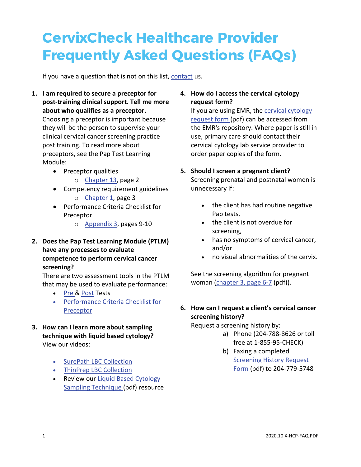## **CervixCheck Healthcare Provider Frequently Asked Questions (FAQs)**

If you have a question that is not on this list, [contact](mailto:screening@cancercare.mb.ca?subject=CervixCheck%20question) us.

- **1. I am required to secure a preceptor for post-training clinical support. Tell me more about who qualifies as a preceptor.**  Choosing a preceptor is important because they will be the person to supervise your clinical cervical cancer screening practice post training. To read more about preceptors, see the Pap Test Learning Module:
	- Preceptor qualities
		- o [Chapter 13,](https://www.cancercare.mb.ca/export/sites/default/screening/.galleries/files/cervixcheck-ptlm/x-ptlm-ch13.pdf) page 2
	- Competency requirement guidelines
		- o [Chapter 1,](https://www.cancercare.mb.ca/export/sites/default/screening/.galleries/files/cervixcheck-ptlm/x-ptlm-ch1.pdf) page 3
	- Performance Criteria Checklist for Preceptor
		- o [Appendix 3,](https://www.cancercare.mb.ca/export/sites/default/screening/.galleries/files/cervixcheck-ptlm/x-ptlm-appendix3.pdf) pages 9-10
- **2. Does the Pap Test Learning Module (PTLM) have any processes to evaluate competence to perform cervical cancer screening?**

There are two assessment tools in the PTLM that may be used to evaluate performance:

- [Pre &](https://www.cancercare.mb.ca/export/sites/default/screening/.galleries/files/cervixcheck-ptlm/x-ptlm-pretest.pdf) [Post](https://www.cancercare.mb.ca/export/sites/default/screening/.galleries/files/cervixcheck-ptlm/x-ptlm-posttest.pdf) Tests
- [Performance Criteria Checklist for](https://www.cancercare.mb.ca/export/sites/default/screening/.galleries/files/cervixcheck-ptlm/x-ptlm-appendix3.pdf)  [Preceptor](https://www.cancercare.mb.ca/export/sites/default/screening/.galleries/files/cervixcheck-ptlm/x-ptlm-appendix3.pdf)
- **3. How can I learn more about sampling technique with liquid based cytology?** View our videos:
	- [SurePath LBC Collection](https://www.cancercare.mb.ca/screening/hcp/education#ptlm)
	- [ThinPrep LBC Collection](https://www.cancercare.mb.ca/screening/hcp/education#ptlm)
	- Review our [Liquid Based Cytology](https://www.cancercare.mb.ca/screening/.galleries/files/resources-page-files/x-lbcproc-e.pdf)  [Sampling Technique \(](https://www.cancercare.mb.ca/screening/.galleries/files/resources-page-files/x-lbcproc-e.pdf)pdf) resource

## **4. How do I access the cervical cytology request form?**

If you are using EMR, the [cervical cytology](https://www.cancercare.mb.ca/export/sites/default/screening/.galleries/files/cervixcheck/x-form-screening-history.pdf) [request form \(](https://www.cancercare.mb.ca/export/sites/default/screening/.galleries/files/cervixcheck/x-form-screening-history.pdf)pdf) can be accessed from the EMR's repository. Where paper is still in use, primary care should contact their cervical cytology lab service provider to order paper copies of the form.

## **5. Should I screen a pregnant client?** Screening prenatal and postnatal women is

unnecessary if:

- the client has had routine negative Pap tests,
- the client is not overdue for screening,
- has no symptoms of cervical cancer, and/or
- no visual abnormalities of the cervix.

See the screening algorithm for pregnant woman [\(chapter 3, page 6-7](https://www.cancercare.mb.ca/export/sites/default/screening/.galleries/files/cervixcheck-ptlm/x-ptlm-ch3.pdf) (pdf)).

## **6. How can I request a client's cervical cancer screening history?**

Request a screening history by:

- a) Phone (204-788-8626 or toll free at 1-855-95-CHECK)
- b) Faxing a completed **Screening History Request** [Form](https://www.cancercare.mb.ca/export/sites/default/screening/.galleries/files/cervixcheck/x-form-screening-history.pdf) (pdf) to 204-779-5748